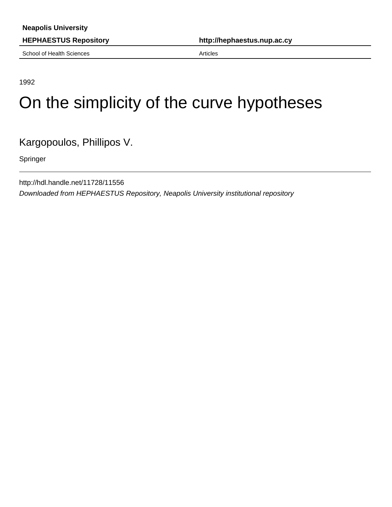School of Health Sciences **Articles** Articles

**HEPHAESTUS Repository http://hephaestus.nup.ac.cy**

1992

## On the simplicity of the curve hypotheses

Kargopoulos, Phillipos V.

Springer

http://hdl.handle.net/11728/11556 Downloaded from HEPHAESTUS Repository, Neapolis University institutional repository